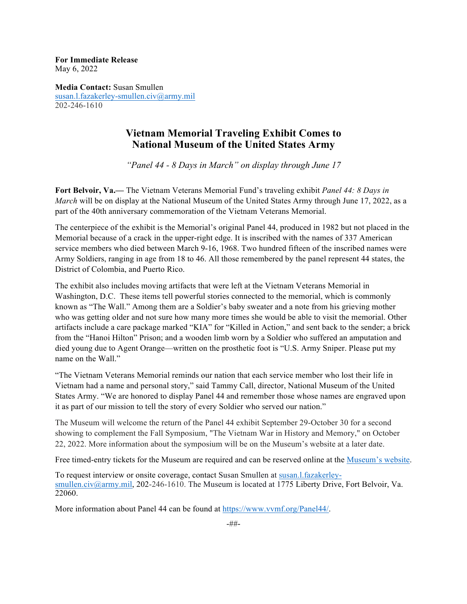**For Immediate Release** May 6, 2022

**Media Contact:** Susan Smullen susan.l.fazakerley-smullen.civ@army.mil 202-246-1610

## **Vietnam Memorial Traveling Exhibit Comes to National Museum of the United States Army**

*"Panel 44 - 8 Days in March" on display through June 17*

**Fort Belvoir, Va.—** The Vietnam Veterans Memorial Fund's traveling exhibit *Panel 44: 8 Days in March* will be on display at the National Museum of the United States Army through June 17, 2022, as a part of the 40th anniversary commemoration of the Vietnam Veterans Memorial.

The centerpiece of the exhibit is the Memorial's original Panel 44, produced in 1982 but not placed in the Memorial because of a crack in the upper-right edge. It is inscribed with the names of 337 American service members who died between March 9-16, 1968. Two hundred fifteen of the inscribed names were Army Soldiers, ranging in age from 18 to 46. All those remembered by the panel represent 44 states, the District of Colombia, and Puerto Rico.

The exhibit also includes moving artifacts that were left at the Vietnam Veterans Memorial in Washington, D.C. These items tell powerful stories connected to the memorial, which is commonly known as "The Wall." Among them are a Soldier's baby sweater and a note from his grieving mother who was getting older and not sure how many more times she would be able to visit the memorial. Other artifacts include a care package marked "KIA" for "Killed in Action," and sent back to the sender; a brick from the "Hanoi Hilton" Prison; and a wooden limb worn by a Soldier who suffered an amputation and died young due to Agent Orange—written on the prosthetic foot is "U.S. Army Sniper. Please put my name on the Wall."

"The Vietnam Veterans Memorial reminds our nation that each service member who lost their life in Vietnam had a name and personal story," said Tammy Call, director, National Museum of the United States Army. "We are honored to display Panel 44 and remember those whose names are engraved upon it as part of our mission to tell the story of every Soldier who served our nation."

The Museum will welcome the return of the Panel 44 exhibit September 29-October 30 for a second showing to complement the Fall Symposium, "The Vietnam War in History and Memory," on October 22, 2022. More information about the symposium will be on the Museum's website at a later date.

Free timed-entry tickets for the Museum are required and can be reserved online at the Museum's website.

To request interview or onsite coverage, contact Susan Smullen at susan.l.fazakerleysmullen.civ@army.mil, 202-246-1610. The Museum is located at 1775 Liberty Drive, Fort Belvoir, Va. 22060.

More information about Panel 44 can be found at https://www.vvmf.org/Panel44/.